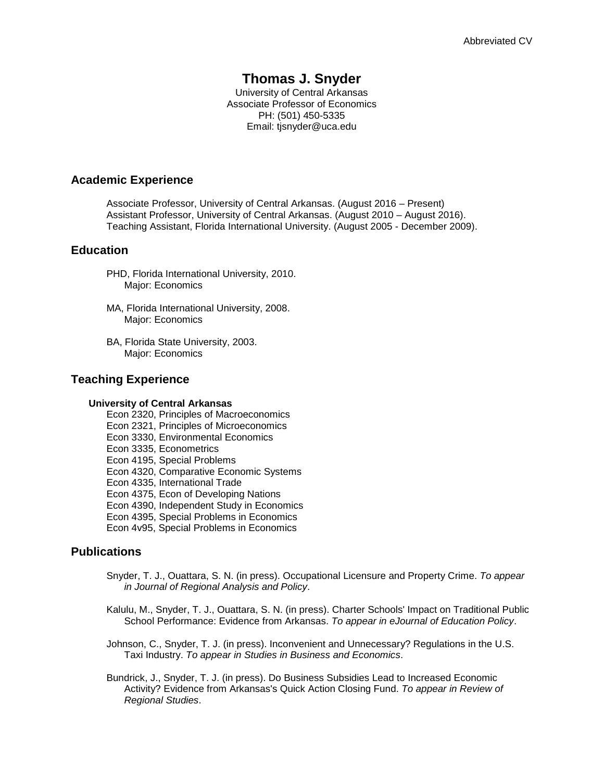# **Thomas J. Snyder**

University of Central Arkansas Associate Professor of Economics PH: (501) 450-5335 Email: tjsnyder@uca.edu

### **Academic Experience**

Associate Professor, University of Central Arkansas. (August 2016 – Present) Assistant Professor, University of Central Arkansas. (August 2010 – August 2016). Teaching Assistant, Florida International University. (August 2005 - December 2009).

# **Education**

- PHD, Florida International University, 2010. Major: Economics
- MA, Florida International University, 2008. Major: Economics
- BA, Florida State University, 2003. Major: Economics

### **Teaching Experience**

#### **University of Central Arkansas**

Econ 2320, Principles of Macroeconomics Econ 2321, Principles of Microeconomics Econ 3330, Environmental Economics Econ 3335, Econometrics Econ 4195, Special Problems Econ 4320, Comparative Economic Systems Econ 4335, International Trade Econ 4375, Econ of Developing Nations Econ 4390, Independent Study in Economics Econ 4395, Special Problems in Economics Econ 4v95, Special Problems in Economics

# **Publications**

- Snyder, T. J., Ouattara, S. N. (in press). Occupational Licensure and Property Crime. *To appear in Journal of Regional Analysis and Policy*.
- Kalulu, M., Snyder, T. J., Ouattara, S. N. (in press). Charter Schools' Impact on Traditional Public School Performance: Evidence from Arkansas. *To appear in eJournal of Education Policy*.
- Johnson, C., Snyder, T. J. (in press). Inconvenient and Unnecessary? Regulations in the U.S. Taxi Industry. *To appear in Studies in Business and Economics*.
- Bundrick, J., Snyder, T. J. (in press). Do Business Subsidies Lead to Increased Economic Activity? Evidence from Arkansas's Quick Action Closing Fund. *To appear in Review of Regional Studies*.